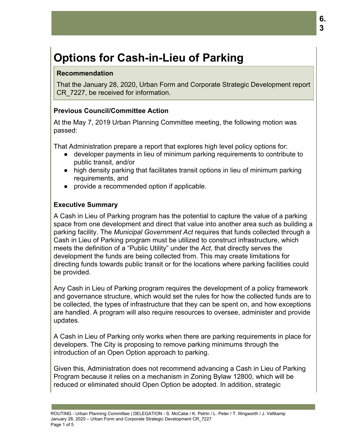# **Options for Cash-in-Lieu of Parking**

#### **Recommendation**

That the January 28, 2020, Urban Form and Corporate Strategic Development report CR 7227, be received for information.

# **Previous Council/Committee Action**

At the May 7, 2019 Urban Planning Committee meeting, the following motion was passed:

That Administration prepare a report that explores high level policy options for:

- developer payments in lieu of minimum parking requirements to contribute to public transit, and/or
- high density parking that facilitates transit options in lieu of minimum parking requirements, and
- provide a recommended option if applicable.

#### **Executive Summary**

A Cash in Lieu of Parking program has the potential to capture the value of a parking space from one development and direct that value into another area such as building a parking facility. The *Municipal Government Act* requires that funds collected through a Cash in Lieu of Parking program must be utilized to construct infrastructure, which meets the definition of a "Public Utility" under the *Act*, that directly serves the development the funds are being collected from. This may create limitations for directing funds towards public transit or for the locations where parking facilities could be provided.

Any Cash in Lieu of Parking program requires the development of a policy framework and governance structure, which would set the rules for how the collected funds are to be collected, the types of infrastructure that they can be spent on, and how exceptions are handled. A program will also require resources to oversee, administer and provide updates.

A Cash in Lieu of Parking only works when there are parking requirements in place for developers. The City is proposing to remove parking minimums through the introduction of an Open Option approach to parking.

Given this, Administration does not recommend advancing a Cash in Lieu of Parking Program because it relies on a mechanism in Zoning Bylaw 12800, which will be reduced or eliminated should Open Option be adopted. In addition, strategic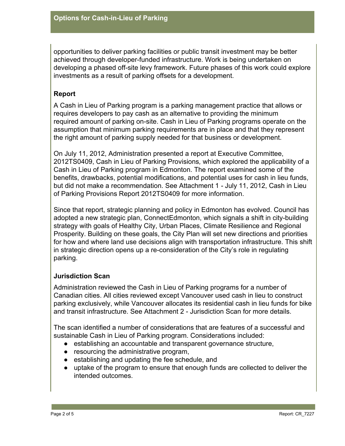opportunities to deliver parking facilities or public transit investment may be better achieved through developer-funded infrastructure. Work is being undertaken on developing a phased off-site levy framework. Future phases of this work could explore investments as a result of parking offsets for a development.

# **Report**

A Cash in Lieu of Parking program is a parking management practice that allows or requires developers to pay cash as an alternative to providing the minimum required amount of parking on-site. Cash in Lieu of Parking programs operate on the assumption that minimum parking requirements are in place and that they represent the right amount of parking supply needed for that business or development.

On July 11, 2012, Administration presented a report at Executive Committee, 2012TS0409, Cash in Lieu of Parking Provisions*,* which explored the applicability of a Cash in Lieu of Parking program in Edmonton. The report examined some of the benefits, drawbacks, potential modifications, and potential uses for cash in lieu funds, but did not make a recommendation. See Attachment 1 *-* July 11, 2012, Cash in Lieu of Parking Provisions Report 2012TS0409 for more information.

Since that report, strategic planning and policy in Edmonton has evolved. Council has adopted a new strategic plan, ConnectEdmonton, which signals a shift in city-building strategy with goals of Healthy City, Urban Places, Climate Resilience and Regional Prosperity. Building on these goals, the City Plan will set new directions and priorities for how and where land use decisions align with transportation infrastructure. This shift in strategic direction opens up a re-consideration of the City's role in regulating parking.

# **Jurisdiction Scan**

Administration reviewed the Cash in Lieu of Parking programs for a number of Canadian cities. All cities reviewed except Vancouver used cash in lieu to construct parking exclusively, while Vancouver allocates its residential cash in lieu funds for bike and transit infrastructure. See Attachment 2 - Jurisdiction Scan for more details.

The scan identified a number of considerations that are features of a successful and sustainable Cash in Lieu of Parking program. Considerations included:

- establishing an accountable and transparent governance structure,
- resourcing the administrative program,
- establishing and updating the fee schedule, and
- uptake of the program to ensure that enough funds are collected to deliver the intended outcomes.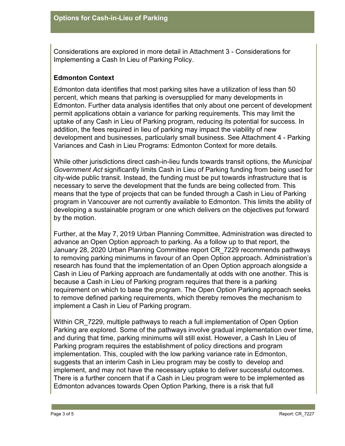Considerations are explored in more detail in Attachment 3 - Considerations for Implementing a Cash In Lieu of Parking Policy.

# **Edmonton Context**

Edmonton data identifies that most parking sites have a utilization of less than 50 percent, which means that parking is oversupplied for many developments in Edmonton. Further data analysis identifies that only about one percent of development permit applications obtain a variance for parking requirements. This may limit the uptake of any Cash in Lieu of Parking program, reducing its potential for success. In addition, the fees required in lieu of parking may impact the viability of new development and businesses, particularly small business. See Attachment 4 - Parking Variances and Cash in Lieu Programs: Edmonton Context for more details.

While other jurisdictions direct cash-in-lieu funds towards transit options, the *Municipal Government Act* significantly limits Cash in Lieu of Parking funding from being used for city-wide public transit. Instead, the funding must be put towards infrastructure that is necessary to serve the development that the funds are being collected from. This means that the type of projects that can be funded through a Cash in Lieu of Parking program in Vancouver are not currently available to Edmonton. This limits the ability of developing a sustainable program or one which delivers on the objectives put forward by the motion.

Further, at the May 7, 2019 Urban Planning Committee, Administration was directed to advance an Open Option approach to parking. As a follow up to that report, the January 28, 2020 Urban Planning Committee report CR\_7229 recommends pathways to removing parking minimums in favour of an Open Option approach. Administration's research has found that the implementation of an Open Option approach alongside a Cash in Lieu of Parking approach are fundamentally at odds with one another. This is because a Cash in Lieu of Parking program requires that there is a parking requirement on which to base the program. The Open Option Parking approach seeks to remove defined parking requirements, which thereby removes the mechanism to implement a Cash in Lieu of Parking program.

Within CR 7229, multiple pathways to reach a full implementation of Open Option Parking are explored. Some of the pathways involve gradual implementation over time, and during that time, parking minimums will still exist. However, a Cash In Lieu of Parking program requires the establishment of policy directions and program implementation. This, coupled with the low parking variance rate in Edmonton, suggests that an interim Cash in Lieu program may be costly to develop and implement, and may not have the necessary uptake to deliver successful outcomes. There is a further concern that if a Cash in Lieu program were to be implemented as Edmonton advances towards Open Option Parking, there is a risk that full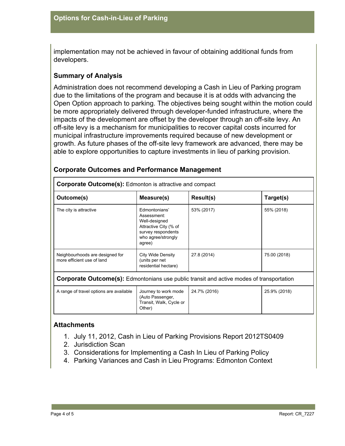implementation may not be achieved in favour of obtaining additional funds from developers.

#### **Summary of Analysis**

Administration does not recommend developing a Cash in Lieu of Parking program due to the limitations of the program and because it is at odds with advancing the Open Option approach to parking. The objectives being sought within the motion could be more appropriately delivered through developer-funded infrastructure, where the impacts of the development are offset by the developer through an off-site levy. An off-site levy is a mechanism for municipalities to recover capital costs incurred for municipal infrastructure improvements required because of new development or growth. As future phases of the off-site levy framework are advanced, there may be able to explore opportunities to capture investments in lieu of parking provision.

| <b>Corporate Outcome(s):</b> Edmonton is attractive and compact                                 |                                                                                                                              |                  |              |
|-------------------------------------------------------------------------------------------------|------------------------------------------------------------------------------------------------------------------------------|------------------|--------------|
| Outcome(s)                                                                                      | Measure(s)                                                                                                                   | <b>Result(s)</b> | Target(s)    |
| The city is attractive                                                                          | Fdmontonians'<br>Assessment:<br>Well-designed<br>Attractive City (% of<br>survey respondents<br>who agree/strongly<br>agree) | 53% (2017)       | 55% (2018)   |
| Neighbourhoods are designed for<br>more efficient use of land                                   | City Wide Density<br>(units per net<br>residential hectare)                                                                  | 27.8 (2014)      | 75.00 (2018) |
| <b>Corporate Outcome(s):</b> Edmontonians use public transit and active modes of transportation |                                                                                                                              |                  |              |
| A range of travel options are available                                                         | Journey to work mode<br>(Auto Passenger,<br>Transit, Walk, Cycle or<br>Other)                                                | 24.7% (2016)     | 25.9% (2018) |

#### **Corporate Outcomes and Performance Management**

#### **Attachments**

- 1. July 11, 2012, Cash in Lieu of Parking Provisions Report 2012TS0409
- 2. Jurisdiction Scan
- 3. Considerations for Implementing a Cash In Lieu of Parking Policy
- 4. Parking Variances and Cash in Lieu Programs: Edmonton Context